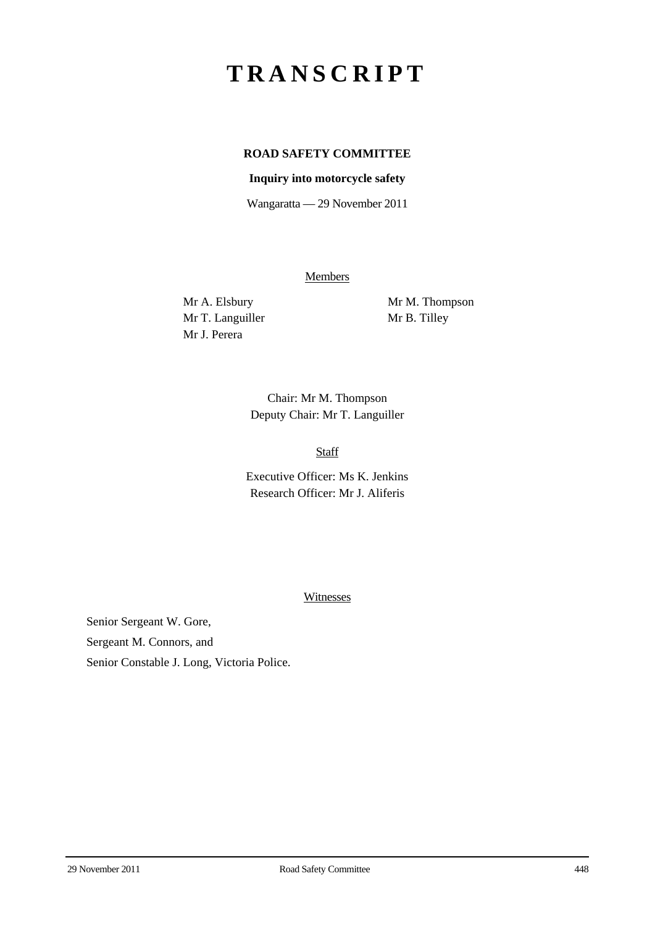## **TRANSCRIPT**

## **ROAD SAFETY COMMITTEE**

## **Inquiry into motorcycle safety**

Wangaratta — 29 November 2011

**Members** 

Mr T. Languiller Mr B. Tilley Mr J. Perera

Mr A. Elsbury Mr M. Thompson

Chair: Mr M. Thompson Deputy Chair: Mr T. Languiller

Staff

Executive Officer: Ms K. Jenkins Research Officer: Mr J. Aliferis

Witnesses

Senior Sergeant W. Gore, Sergeant M. Connors, and Senior Constable J. Long, Victoria Police.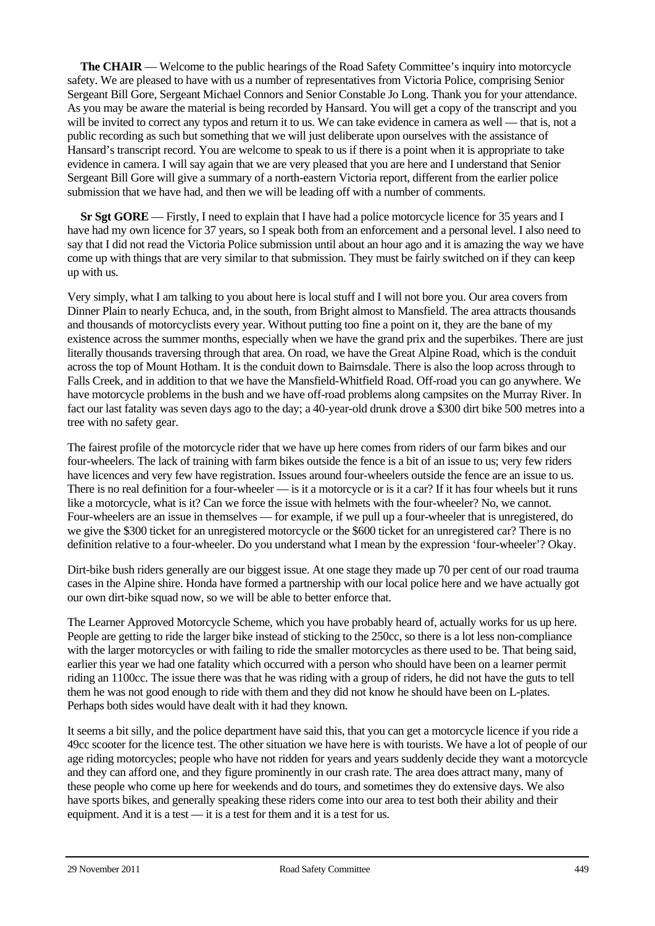**The CHAIR** — Welcome to the public hearings of the Road Safety Committee's inquiry into motorcycle safety. We are pleased to have with us a number of representatives from Victoria Police, comprising Senior Sergeant Bill Gore, Sergeant Michael Connors and Senior Constable Jo Long. Thank you for your attendance. As you may be aware the material is being recorded by Hansard. You will get a copy of the transcript and you will be invited to correct any typos and return it to us. We can take evidence in camera as well — that is, not a public recording as such but something that we will just deliberate upon ourselves with the assistance of Hansard's transcript record. You are welcome to speak to us if there is a point when it is appropriate to take evidence in camera. I will say again that we are very pleased that you are here and I understand that Senior Sergeant Bill Gore will give a summary of a north-eastern Victoria report, different from the earlier police submission that we have had, and then we will be leading off with a number of comments.

**Sr Sgt GORE** — Firstly, I need to explain that I have had a police motorcycle licence for 35 years and I have had my own licence for 37 years, so I speak both from an enforcement and a personal level. I also need to say that I did not read the Victoria Police submission until about an hour ago and it is amazing the way we have come up with things that are very similar to that submission. They must be fairly switched on if they can keep up with us.

Very simply, what I am talking to you about here is local stuff and I will not bore you. Our area covers from Dinner Plain to nearly Echuca, and, in the south, from Bright almost to Mansfield. The area attracts thousands and thousands of motorcyclists every year. Without putting too fine a point on it, they are the bane of my existence across the summer months, especially when we have the grand prix and the superbikes. There are just literally thousands traversing through that area. On road, we have the Great Alpine Road, which is the conduit across the top of Mount Hotham. It is the conduit down to Bairnsdale. There is also the loop across through to Falls Creek, and in addition to that we have the Mansfield-Whitfield Road. Off-road you can go anywhere. We have motorcycle problems in the bush and we have off-road problems along campsites on the Murray River. In fact our last fatality was seven days ago to the day; a 40-year-old drunk drove a \$300 dirt bike 500 metres into a tree with no safety gear.

The fairest profile of the motorcycle rider that we have up here comes from riders of our farm bikes and our four-wheelers. The lack of training with farm bikes outside the fence is a bit of an issue to us; very few riders have licences and very few have registration. Issues around four-wheelers outside the fence are an issue to us. There is no real definition for a four-wheeler — is it a motorcycle or is it a car? If it has four wheels but it runs like a motorcycle, what is it? Can we force the issue with helmets with the four-wheeler? No, we cannot. Four-wheelers are an issue in themselves — for example, if we pull up a four-wheeler that is unregistered, do we give the \$300 ticket for an unregistered motorcycle or the \$600 ticket for an unregistered car? There is no definition relative to a four-wheeler. Do you understand what I mean by the expression 'four-wheeler'? Okay.

Dirt-bike bush riders generally are our biggest issue. At one stage they made up 70 per cent of our road trauma cases in the Alpine shire. Honda have formed a partnership with our local police here and we have actually got our own dirt-bike squad now, so we will be able to better enforce that.

The Learner Approved Motorcycle Scheme, which you have probably heard of, actually works for us up here. People are getting to ride the larger bike instead of sticking to the 250cc, so there is a lot less non-compliance with the larger motorcycles or with failing to ride the smaller motorcycles as there used to be. That being said, earlier this year we had one fatality which occurred with a person who should have been on a learner permit riding an 1100cc. The issue there was that he was riding with a group of riders, he did not have the guts to tell them he was not good enough to ride with them and they did not know he should have been on L-plates. Perhaps both sides would have dealt with it had they known.

It seems a bit silly, and the police department have said this, that you can get a motorcycle licence if you ride a 49cc scooter for the licence test. The other situation we have here is with tourists. We have a lot of people of our age riding motorcycles; people who have not ridden for years and years suddenly decide they want a motorcycle and they can afford one, and they figure prominently in our crash rate. The area does attract many, many of these people who come up here for weekends and do tours, and sometimes they do extensive days. We also have sports bikes, and generally speaking these riders come into our area to test both their ability and their equipment. And it is a test — it is a test for them and it is a test for us.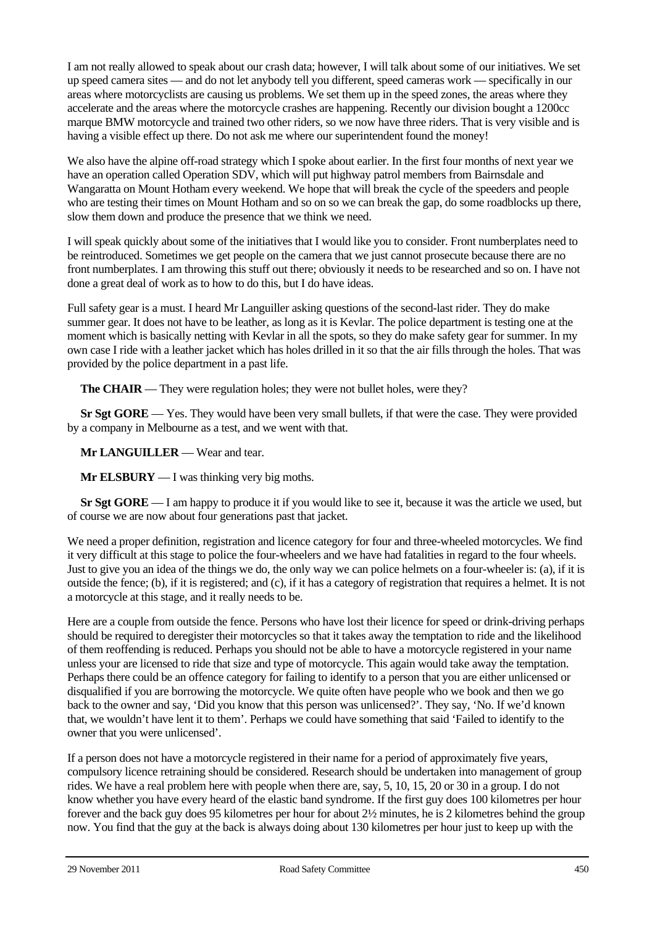I am not really allowed to speak about our crash data; however, I will talk about some of our initiatives. We set up speed camera sites — and do not let anybody tell you different, speed cameras work — specifically in our areas where motorcyclists are causing us problems. We set them up in the speed zones, the areas where they accelerate and the areas where the motorcycle crashes are happening. Recently our division bought a 1200cc marque BMW motorcycle and trained two other riders, so we now have three riders. That is very visible and is having a visible effect up there. Do not ask me where our superintendent found the money!

We also have the alpine off-road strategy which I spoke about earlier. In the first four months of next year we have an operation called Operation SDV, which will put highway patrol members from Bairnsdale and Wangaratta on Mount Hotham every weekend. We hope that will break the cycle of the speeders and people who are testing their times on Mount Hotham and so on so we can break the gap, do some roadblocks up there, slow them down and produce the presence that we think we need.

I will speak quickly about some of the initiatives that I would like you to consider. Front numberplates need to be reintroduced. Sometimes we get people on the camera that we just cannot prosecute because there are no front numberplates. I am throwing this stuff out there; obviously it needs to be researched and so on. I have not done a great deal of work as to how to do this, but I do have ideas.

Full safety gear is a must. I heard Mr Languiller asking questions of the second-last rider. They do make summer gear. It does not have to be leather, as long as it is Kevlar. The police department is testing one at the moment which is basically netting with Kevlar in all the spots, so they do make safety gear for summer. In my own case I ride with a leather jacket which has holes drilled in it so that the air fills through the holes. That was provided by the police department in a past life.

**The CHAIR** — They were regulation holes; they were not bullet holes, were they?

**Sr Sgt GORE** — Yes. They would have been very small bullets, if that were the case. They were provided by a company in Melbourne as a test, and we went with that.

**Mr LANGUILLER** — Wear and tear.

**Mr ELSBURY** — I was thinking very big moths.

**Sr Sgt GORE** — I am happy to produce it if you would like to see it, because it was the article we used, but of course we are now about four generations past that jacket.

We need a proper definition, registration and licence category for four and three-wheeled motorcycles. We find it very difficult at this stage to police the four-wheelers and we have had fatalities in regard to the four wheels. Just to give you an idea of the things we do, the only way we can police helmets on a four-wheeler is: (a), if it is outside the fence; (b), if it is registered; and (c), if it has a category of registration that requires a helmet. It is not a motorcycle at this stage, and it really needs to be.

Here are a couple from outside the fence. Persons who have lost their licence for speed or drink-driving perhaps should be required to deregister their motorcycles so that it takes away the temptation to ride and the likelihood of them reoffending is reduced. Perhaps you should not be able to have a motorcycle registered in your name unless your are licensed to ride that size and type of motorcycle. This again would take away the temptation. Perhaps there could be an offence category for failing to identify to a person that you are either unlicensed or disqualified if you are borrowing the motorcycle. We quite often have people who we book and then we go back to the owner and say, 'Did you know that this person was unlicensed?'. They say, 'No. If we'd known that, we wouldn't have lent it to them'. Perhaps we could have something that said 'Failed to identify to the owner that you were unlicensed'.

If a person does not have a motorcycle registered in their name for a period of approximately five years, compulsory licence retraining should be considered. Research should be undertaken into management of group rides. We have a real problem here with people when there are, say, 5, 10, 15, 20 or 30 in a group. I do not know whether you have every heard of the elastic band syndrome. If the first guy does 100 kilometres per hour forever and the back guy does 95 kilometres per hour for about 2½ minutes, he is 2 kilometres behind the group now. You find that the guy at the back is always doing about 130 kilometres per hour just to keep up with the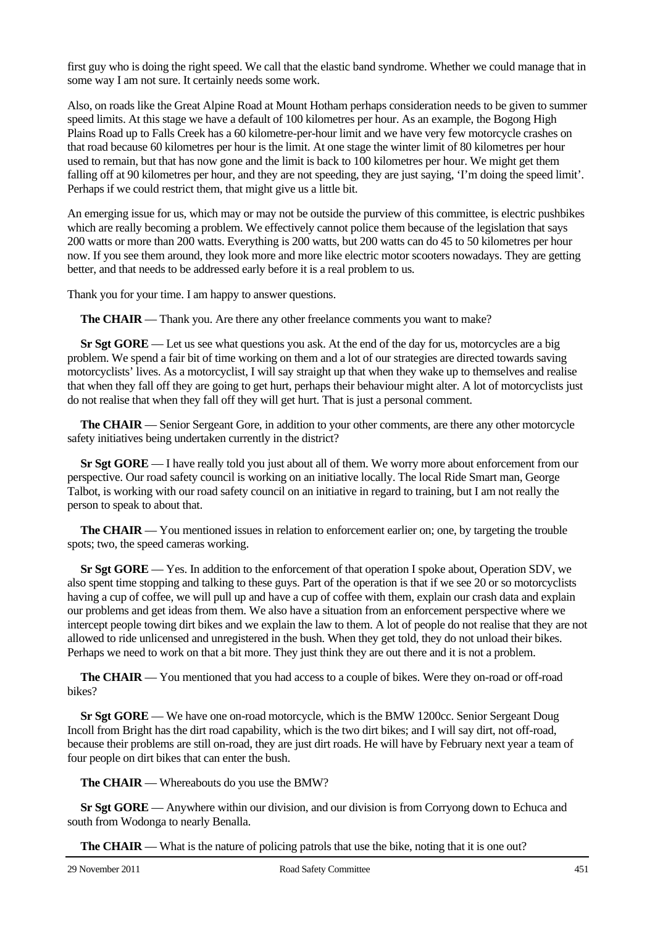first guy who is doing the right speed. We call that the elastic band syndrome. Whether we could manage that in some way I am not sure. It certainly needs some work.

Also, on roads like the Great Alpine Road at Mount Hotham perhaps consideration needs to be given to summer speed limits. At this stage we have a default of 100 kilometres per hour. As an example, the Bogong High Plains Road up to Falls Creek has a 60 kilometre-per-hour limit and we have very few motorcycle crashes on that road because 60 kilometres per hour is the limit. At one stage the winter limit of 80 kilometres per hour used to remain, but that has now gone and the limit is back to 100 kilometres per hour. We might get them falling off at 90 kilometres per hour, and they are not speeding, they are just saying, 'I'm doing the speed limit'. Perhaps if we could restrict them, that might give us a little bit.

An emerging issue for us, which may or may not be outside the purview of this committee, is electric pushbikes which are really becoming a problem. We effectively cannot police them because of the legislation that says 200 watts or more than 200 watts. Everything is 200 watts, but 200 watts can do 45 to 50 kilometres per hour now. If you see them around, they look more and more like electric motor scooters nowadays. They are getting better, and that needs to be addressed early before it is a real problem to us.

Thank you for your time. I am happy to answer questions.

**The CHAIR** — Thank you. Are there any other freelance comments you want to make?

**Sr Sgt GORE** — Let us see what questions you ask. At the end of the day for us, motorcycles are a big problem. We spend a fair bit of time working on them and a lot of our strategies are directed towards saving motorcyclists' lives. As a motorcyclist, I will say straight up that when they wake up to themselves and realise that when they fall off they are going to get hurt, perhaps their behaviour might alter. A lot of motorcyclists just do not realise that when they fall off they will get hurt. That is just a personal comment.

**The CHAIR** — Senior Sergeant Gore, in addition to your other comments, are there any other motorcycle safety initiatives being undertaken currently in the district?

**Sr Sgt GORE** — I have really told you just about all of them. We worry more about enforcement from our perspective. Our road safety council is working on an initiative locally. The local Ride Smart man, George Talbot, is working with our road safety council on an initiative in regard to training, but I am not really the person to speak to about that.

**The CHAIR** — You mentioned issues in relation to enforcement earlier on; one, by targeting the trouble spots; two, the speed cameras working.

**Sr Sgt GORE** — Yes. In addition to the enforcement of that operation I spoke about, Operation SDV, we also spent time stopping and talking to these guys. Part of the operation is that if we see 20 or so motorcyclists having a cup of coffee, we will pull up and have a cup of coffee with them, explain our crash data and explain our problems and get ideas from them. We also have a situation from an enforcement perspective where we intercept people towing dirt bikes and we explain the law to them. A lot of people do not realise that they are not allowed to ride unlicensed and unregistered in the bush. When they get told, they do not unload their bikes. Perhaps we need to work on that a bit more. They just think they are out there and it is not a problem.

**The CHAIR** — You mentioned that you had access to a couple of bikes. Were they on-road or off-road bikes?

**Sr Sgt GORE** — We have one on-road motorcycle, which is the BMW 1200cc. Senior Sergeant Doug Incoll from Bright has the dirt road capability, which is the two dirt bikes; and I will say dirt, not off-road, because their problems are still on-road, they are just dirt roads. He will have by February next year a team of four people on dirt bikes that can enter the bush.

**The CHAIR** — Whereabouts do you use the BMW?

**Sr Sgt GORE** — Anywhere within our division, and our division is from Corryong down to Echuca and south from Wodonga to nearly Benalla.

**The CHAIR** — What is the nature of policing patrols that use the bike, noting that it is one out?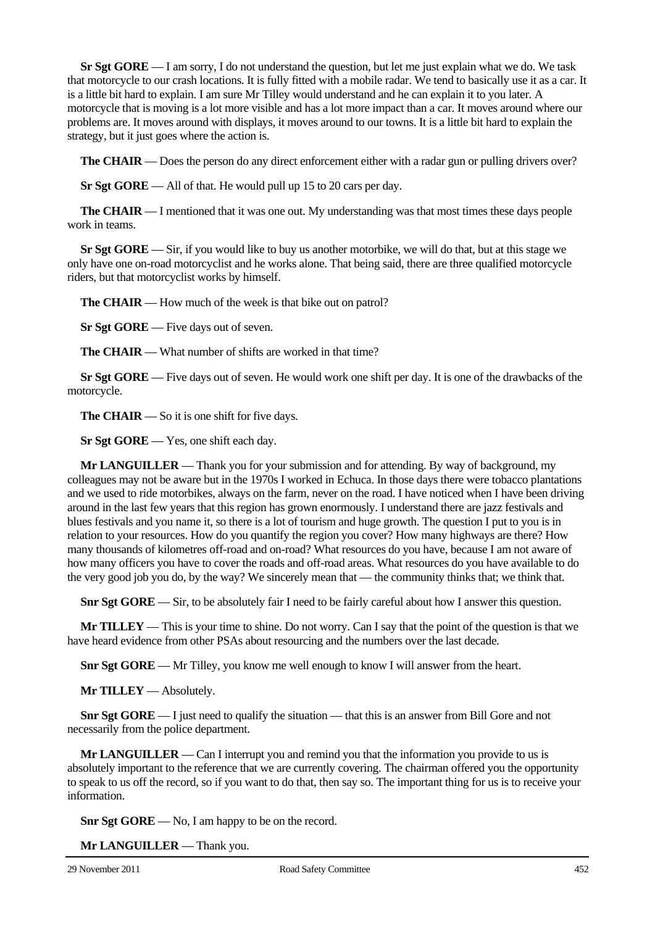**Sr Sgt GORE** — I am sorry, I do not understand the question, but let me just explain what we do. We task that motorcycle to our crash locations. It is fully fitted with a mobile radar. We tend to basically use it as a car. It is a little bit hard to explain. I am sure Mr Tilley would understand and he can explain it to you later. A motorcycle that is moving is a lot more visible and has a lot more impact than a car. It moves around where our problems are. It moves around with displays, it moves around to our towns. It is a little bit hard to explain the strategy, but it just goes where the action is.

**The CHAIR** — Does the person do any direct enforcement either with a radar gun or pulling drivers over?

**Sr Sgt GORE** — All of that. He would pull up 15 to 20 cars per day.

**The CHAIR** — I mentioned that it was one out. My understanding was that most times these days people work in teams.

**Sr Sgt GORE** — Sir, if you would like to buy us another motorbike, we will do that, but at this stage we only have one on-road motorcyclist and he works alone. That being said, there are three qualified motorcycle riders, but that motorcyclist works by himself.

**The CHAIR** — How much of the week is that bike out on patrol?

**Sr Sgt GORE** — Five days out of seven.

**The CHAIR** — What number of shifts are worked in that time?

**Sr Sgt GORE** — Five days out of seven. He would work one shift per day. It is one of the drawbacks of the motorcycle.

**The CHAIR** — So it is one shift for five days.

**Sr Sgt GORE** — Yes, one shift each day.

**Mr LANGUILLER** — Thank you for your submission and for attending. By way of background, my colleagues may not be aware but in the 1970s I worked in Echuca. In those days there were tobacco plantations and we used to ride motorbikes, always on the farm, never on the road. I have noticed when I have been driving around in the last few years that this region has grown enormously. I understand there are jazz festivals and blues festivals and you name it, so there is a lot of tourism and huge growth. The question I put to you is in relation to your resources. How do you quantify the region you cover? How many highways are there? How many thousands of kilometres off-road and on-road? What resources do you have, because I am not aware of how many officers you have to cover the roads and off-road areas. What resources do you have available to do the very good job you do, by the way? We sincerely mean that — the community thinks that; we think that.

**Snr Sgt GORE** — Sir, to be absolutely fair I need to be fairly careful about how I answer this question.

**Mr TILLEY** — This is your time to shine. Do not worry. Can I say that the point of the question is that we have heard evidence from other PSAs about resourcing and the numbers over the last decade.

**Snr Sgt GORE** — Mr Tilley, you know me well enough to know I will answer from the heart.

**Mr TILLEY** — Absolutely.

**Snr Sgt GORE** — I just need to qualify the situation — that this is an answer from Bill Gore and not necessarily from the police department.

**Mr LANGUILLER** — Can I interrupt you and remind you that the information you provide to us is absolutely important to the reference that we are currently covering. The chairman offered you the opportunity to speak to us off the record, so if you want to do that, then say so. The important thing for us is to receive your information.

**Snr Sgt GORE** — No, I am happy to be on the record.

**Mr LANGUILLER** — Thank you.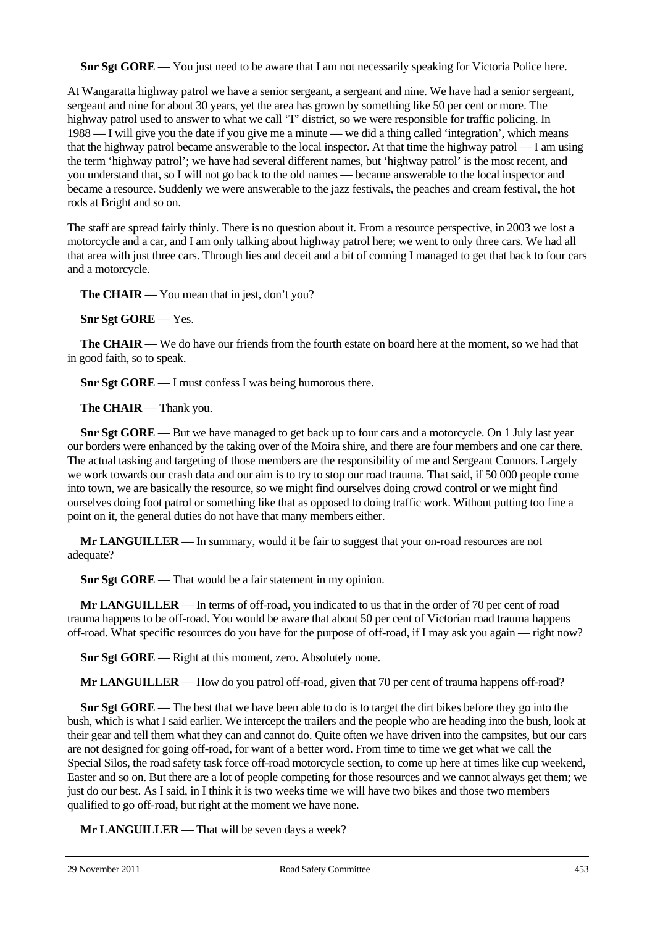**Snr Sgt GORE** — You just need to be aware that I am not necessarily speaking for Victoria Police here.

At Wangaratta highway patrol we have a senior sergeant, a sergeant and nine. We have had a senior sergeant, sergeant and nine for about 30 years, yet the area has grown by something like 50 per cent or more. The highway patrol used to answer to what we call 'T' district, so we were responsible for traffic policing. In 1988 — I will give you the date if you give me a minute — we did a thing called 'integration', which means that the highway patrol became answerable to the local inspector. At that time the highway patrol — I am using the term 'highway patrol'; we have had several different names, but 'highway patrol' is the most recent, and you understand that, so I will not go back to the old names — became answerable to the local inspector and became a resource. Suddenly we were answerable to the jazz festivals, the peaches and cream festival, the hot rods at Bright and so on.

The staff are spread fairly thinly. There is no question about it. From a resource perspective, in 2003 we lost a motorcycle and a car, and I am only talking about highway patrol here; we went to only three cars. We had all that area with just three cars. Through lies and deceit and a bit of conning I managed to get that back to four cars and a motorcycle.

**The CHAIR** — You mean that in jest, don't you?

**Snr Sgt GORE** — Yes.

**The CHAIR** — We do have our friends from the fourth estate on board here at the moment, so we had that in good faith, so to speak.

**Snr Sgt GORE** — I must confess I was being humorous there.

**The CHAIR** — Thank you.

**Snr Sgt GORE** — But we have managed to get back up to four cars and a motorcycle. On 1 July last year our borders were enhanced by the taking over of the Moira shire, and there are four members and one car there. The actual tasking and targeting of those members are the responsibility of me and Sergeant Connors. Largely we work towards our crash data and our aim is to try to stop our road trauma. That said, if 50 000 people come into town, we are basically the resource, so we might find ourselves doing crowd control or we might find ourselves doing foot patrol or something like that as opposed to doing traffic work. Without putting too fine a point on it, the general duties do not have that many members either.

**Mr LANGUILLER** — In summary, would it be fair to suggest that your on-road resources are not adequate?

**Snr Sgt GORE** — That would be a fair statement in my opinion.

**Mr LANGUILLER** — In terms of off-road, you indicated to us that in the order of 70 per cent of road trauma happens to be off-road. You would be aware that about 50 per cent of Victorian road trauma happens off-road. What specific resources do you have for the purpose of off-road, if I may ask you again — right now?

**Snr Sgt GORE** — Right at this moment, zero. Absolutely none.

**Mr LANGUILLER** — How do you patrol off-road, given that 70 per cent of trauma happens off-road?

**Snr Sgt GORE** — The best that we have been able to do is to target the dirt bikes before they go into the bush, which is what I said earlier. We intercept the trailers and the people who are heading into the bush, look at their gear and tell them what they can and cannot do. Quite often we have driven into the campsites, but our cars are not designed for going off-road, for want of a better word. From time to time we get what we call the Special Silos, the road safety task force off-road motorcycle section, to come up here at times like cup weekend, Easter and so on. But there are a lot of people competing for those resources and we cannot always get them; we just do our best. As I said, in I think it is two weeks time we will have two bikes and those two members qualified to go off-road, but right at the moment we have none.

**Mr LANGUILLER** — That will be seven days a week?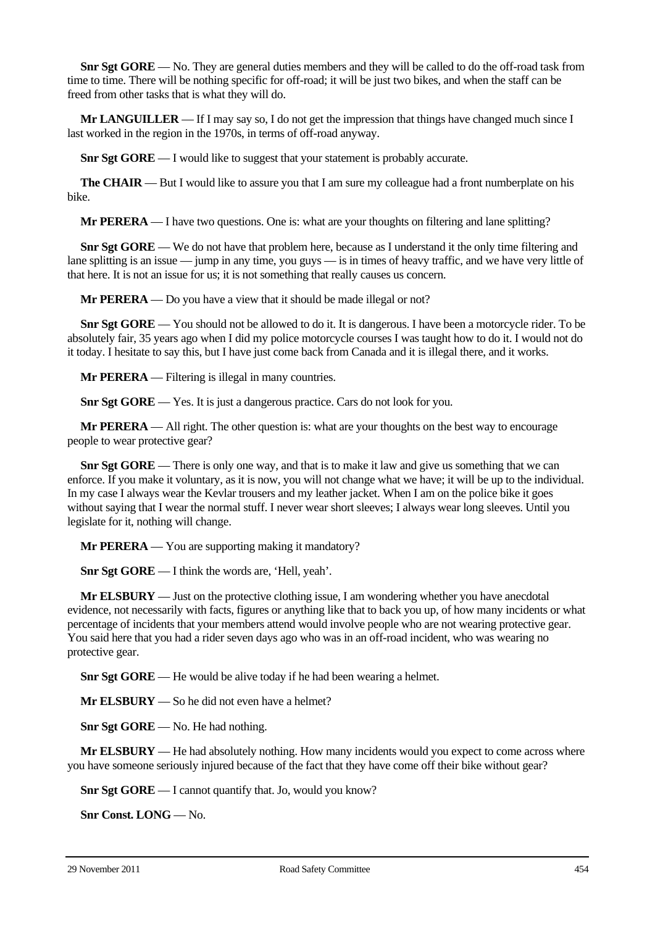**Snr Sgt GORE** — No. They are general duties members and they will be called to do the off-road task from time to time. There will be nothing specific for off-road; it will be just two bikes, and when the staff can be freed from other tasks that is what they will do.

**Mr LANGUILLER** — If I may say so, I do not get the impression that things have changed much since I last worked in the region in the 1970s, in terms of off-road anyway.

**Snr Sgt GORE** — I would like to suggest that your statement is probably accurate.

**The CHAIR** — But I would like to assure you that I am sure my colleague had a front numberplate on his bike.

**Mr PERERA** — I have two questions. One is: what are your thoughts on filtering and lane splitting?

**Snr Sgt GORE** — We do not have that problem here, because as I understand it the only time filtering and lane splitting is an issue — jump in any time, you guys — is in times of heavy traffic, and we have very little of that here. It is not an issue for us; it is not something that really causes us concern.

**Mr PERERA** — Do you have a view that it should be made illegal or not?

**Snr Sgt GORE** — You should not be allowed to do it. It is dangerous. I have been a motorcycle rider. To be absolutely fair, 35 years ago when I did my police motorcycle courses I was taught how to do it. I would not do it today. I hesitate to say this, but I have just come back from Canada and it is illegal there, and it works.

**Mr PERERA** — Filtering is illegal in many countries.

**Snr Sgt GORE** — Yes. It is just a dangerous practice. Cars do not look for you.

**Mr PERERA** — All right. The other question is: what are your thoughts on the best way to encourage people to wear protective gear?

**Snr Sgt GORE** — There is only one way, and that is to make it law and give us something that we can enforce. If you make it voluntary, as it is now, you will not change what we have; it will be up to the individual. In my case I always wear the Kevlar trousers and my leather jacket. When I am on the police bike it goes without saying that I wear the normal stuff. I never wear short sleeves: I always wear long sleeves. Until you legislate for it, nothing will change.

**Mr PERERA** — You are supporting making it mandatory?

**Snr Sgt GORE** — I think the words are, 'Hell, yeah'.

**Mr ELSBURY** — Just on the protective clothing issue, I am wondering whether you have anecdotal evidence, not necessarily with facts, figures or anything like that to back you up, of how many incidents or what percentage of incidents that your members attend would involve people who are not wearing protective gear. You said here that you had a rider seven days ago who was in an off-road incident, who was wearing no protective gear.

**Snr Sgt GORE** — He would be alive today if he had been wearing a helmet.

**Mr ELSBURY** — So he did not even have a helmet?

**Snr Sgt GORE** — No. He had nothing.

**Mr ELSBURY** — He had absolutely nothing. How many incidents would you expect to come across where you have someone seriously injured because of the fact that they have come off their bike without gear?

**Snr Sgt GORE** — I cannot quantify that. Jo, would you know?

**Snr Const. LONG** — No.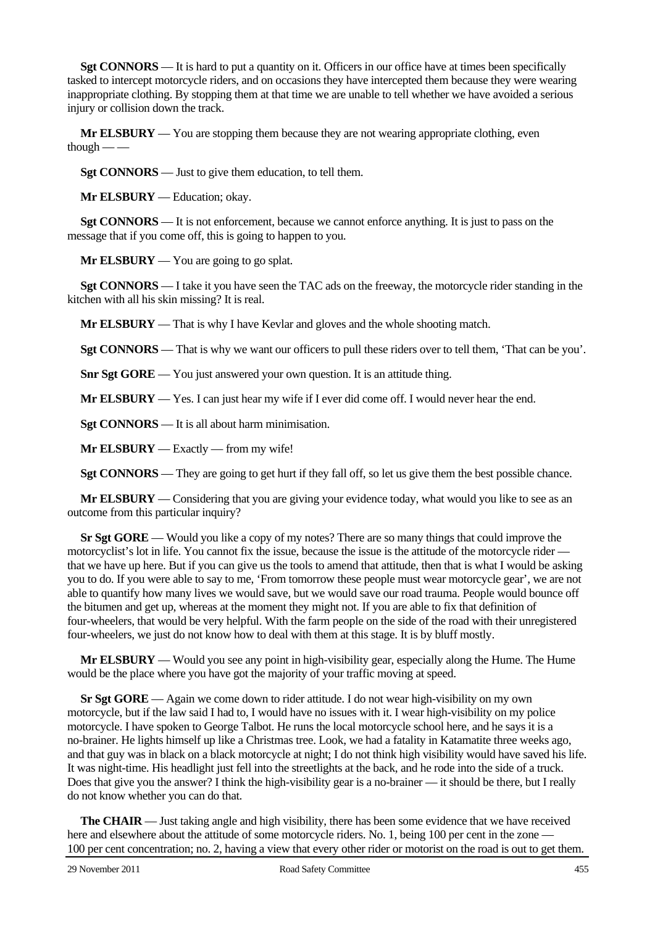**Sgt CONNORS** — It is hard to put a quantity on it. Officers in our office have at times been specifically tasked to intercept motorcycle riders, and on occasions they have intercepted them because they were wearing inappropriate clothing. By stopping them at that time we are unable to tell whether we have avoided a serious injury or collision down the track.

**Mr ELSBURY** — You are stopping them because they are not wearing appropriate clothing, even though  $-\frac{1}{2}$ 

**Sgt CONNORS** — Just to give them education, to tell them.

**Mr ELSBURY** — Education; okay.

**Sgt CONNORS** — It is not enforcement, because we cannot enforce anything. It is just to pass on the message that if you come off, this is going to happen to you.

**Mr ELSBURY** — You are going to go splat.

**Sgt CONNORS** — I take it you have seen the TAC ads on the freeway, the motorcycle rider standing in the kitchen with all his skin missing? It is real.

**Mr ELSBURY** — That is why I have Kevlar and gloves and the whole shooting match.

**Sgt CONNORS** — That is why we want our officers to pull these riders over to tell them, 'That can be you'.

**Snr Sgt GORE** — You just answered your own question. It is an attitude thing.

**Mr ELSBURY** — Yes. I can just hear my wife if I ever did come off. I would never hear the end.

**Sgt CONNORS** — It is all about harm minimisation.

**Mr ELSBURY** — Exactly — from my wife!

**Sgt CONNORS** — They are going to get hurt if they fall off, so let us give them the best possible chance.

**Mr ELSBURY** — Considering that you are giving your evidence today, what would you like to see as an outcome from this particular inquiry?

**Sr Sgt GORE** — Would you like a copy of my notes? There are so many things that could improve the motorcyclist's lot in life. You cannot fix the issue, because the issue is the attitude of the motorcycle rider that we have up here. But if you can give us the tools to amend that attitude, then that is what I would be asking you to do. If you were able to say to me, 'From tomorrow these people must wear motorcycle gear', we are not able to quantify how many lives we would save, but we would save our road trauma. People would bounce off the bitumen and get up, whereas at the moment they might not. If you are able to fix that definition of four-wheelers, that would be very helpful. With the farm people on the side of the road with their unregistered four-wheelers, we just do not know how to deal with them at this stage. It is by bluff mostly.

**Mr ELSBURY** — Would you see any point in high-visibility gear, especially along the Hume. The Hume would be the place where you have got the majority of your traffic moving at speed.

**Sr Sgt GORE** — Again we come down to rider attitude. I do not wear high-visibility on my own motorcycle, but if the law said I had to, I would have no issues with it. I wear high-visibility on my police motorcycle. I have spoken to George Talbot. He runs the local motorcycle school here, and he says it is a no-brainer. He lights himself up like a Christmas tree. Look, we had a fatality in Katamatite three weeks ago, and that guy was in black on a black motorcycle at night; I do not think high visibility would have saved his life. It was night-time. His headlight just fell into the streetlights at the back, and he rode into the side of a truck. Does that give you the answer? I think the high-visibility gear is a no-brainer — it should be there, but I really do not know whether you can do that.

**The CHAIR** — Just taking angle and high visibility, there has been some evidence that we have received here and elsewhere about the attitude of some motorcycle riders. No. 1, being 100 per cent in the zone — 100 per cent concentration; no. 2, having a view that every other rider or motorist on the road is out to get them.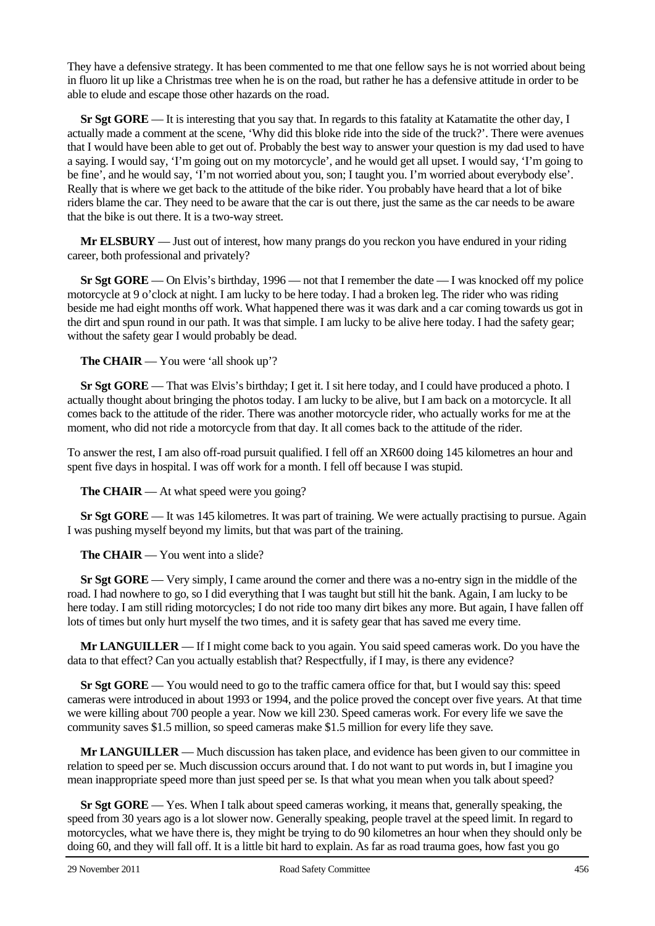They have a defensive strategy. It has been commented to me that one fellow says he is not worried about being in fluoro lit up like a Christmas tree when he is on the road, but rather he has a defensive attitude in order to be able to elude and escape those other hazards on the road.

**Sr Sgt GORE** — It is interesting that you say that. In regards to this fatality at Katamatite the other day, I actually made a comment at the scene, 'Why did this bloke ride into the side of the truck?'. There were avenues that I would have been able to get out of. Probably the best way to answer your question is my dad used to have a saying. I would say, 'I'm going out on my motorcycle', and he would get all upset. I would say, 'I'm going to be fine', and he would say, 'I'm not worried about you, son; I taught you. I'm worried about everybody else'. Really that is where we get back to the attitude of the bike rider. You probably have heard that a lot of bike riders blame the car. They need to be aware that the car is out there, just the same as the car needs to be aware that the bike is out there. It is a two-way street.

**Mr ELSBURY** — Just out of interest, how many prangs do you reckon you have endured in your riding career, both professional and privately?

**Sr Sgt GORE** — On Elvis's birthday, 1996 — not that I remember the date — I was knocked off my police motorcycle at 9 o'clock at night. I am lucky to be here today. I had a broken leg. The rider who was riding beside me had eight months off work. What happened there was it was dark and a car coming towards us got in the dirt and spun round in our path. It was that simple. I am lucky to be alive here today. I had the safety gear; without the safety gear I would probably be dead.

**The CHAIR** — You were 'all shook up'?

**Sr Sgt GORE** — That was Elvis's birthday; I get it. I sit here today, and I could have produced a photo. I actually thought about bringing the photos today. I am lucky to be alive, but I am back on a motorcycle. It all comes back to the attitude of the rider. There was another motorcycle rider, who actually works for me at the moment, who did not ride a motorcycle from that day. It all comes back to the attitude of the rider.

To answer the rest, I am also off-road pursuit qualified. I fell off an XR600 doing 145 kilometres an hour and spent five days in hospital. I was off work for a month. I fell off because I was stupid.

**The CHAIR** — At what speed were you going?

**Sr Sgt GORE** — It was 145 kilometres. It was part of training. We were actually practising to pursue. Again I was pushing myself beyond my limits, but that was part of the training.

**The CHAIR** — You went into a slide?

**Sr Sgt GORE** — Very simply, I came around the corner and there was a no-entry sign in the middle of the road. I had nowhere to go, so I did everything that I was taught but still hit the bank. Again, I am lucky to be here today. I am still riding motorcycles; I do not ride too many dirt bikes any more. But again, I have fallen off lots of times but only hurt myself the two times, and it is safety gear that has saved me every time.

**Mr LANGUILLER** — If I might come back to you again. You said speed cameras work. Do you have the data to that effect? Can you actually establish that? Respectfully, if I may, is there any evidence?

**Sr Sgt GORE** — You would need to go to the traffic camera office for that, but I would say this: speed cameras were introduced in about 1993 or 1994, and the police proved the concept over five years. At that time we were killing about 700 people a year. Now we kill 230. Speed cameras work. For every life we save the community saves \$1.5 million, so speed cameras make \$1.5 million for every life they save.

**Mr LANGUILLER** — Much discussion has taken place, and evidence has been given to our committee in relation to speed per se. Much discussion occurs around that. I do not want to put words in, but I imagine you mean inappropriate speed more than just speed per se. Is that what you mean when you talk about speed?

**Sr Sgt GORE** — Yes. When I talk about speed cameras working, it means that, generally speaking, the speed from 30 years ago is a lot slower now. Generally speaking, people travel at the speed limit. In regard to motorcycles, what we have there is, they might be trying to do 90 kilometres an hour when they should only be doing 60, and they will fall off. It is a little bit hard to explain. As far as road trauma goes, how fast you go